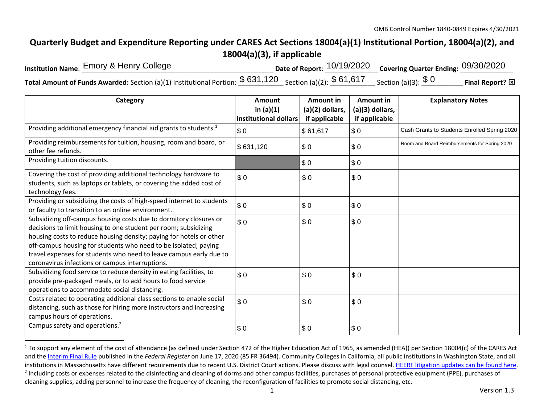## **Quarterly Budget and Expenditure Reporting under CARES Act Sections 18004(a)(1) Institutional Portion, 18004(a)(2), and 18004(a)(3), if applicable**

| Institution Name: Emory & Henry College                                                                                                                                        | Date of Report: $10/19/2020$ Covering Quarter Ending: 09/30/2020 |                   |
|--------------------------------------------------------------------------------------------------------------------------------------------------------------------------------|------------------------------------------------------------------|-------------------|
| <code>Total Amount</code> of Funds Awarded: <code>Section</code> (a)(1) Institutional Portion: $\$$ $631,120$ $\_$ Section (a)(2): $\$$ $61,617$ $\_$ Section (a)(3): $\$$ $0$ |                                                                  | Final Report?<br> |

| Category                                                                                                                                                                                                                                                                                                                                                                                                | Amount<br>in $(a)(1)$<br>institutional dollars | Amount in<br>(a)(2) dollars,<br>if applicable | Amount in<br>(a)(3) dollars,<br>if applicable | <b>Explanatory Notes</b>                      |
|---------------------------------------------------------------------------------------------------------------------------------------------------------------------------------------------------------------------------------------------------------------------------------------------------------------------------------------------------------------------------------------------------------|------------------------------------------------|-----------------------------------------------|-----------------------------------------------|-----------------------------------------------|
| Providing additional emergency financial aid grants to students. <sup>1</sup>                                                                                                                                                                                                                                                                                                                           | \$0                                            | \$61,617                                      | \$0                                           | Cash Grants to Students Enrolled Spring 2020  |
| Providing reimbursements for tuition, housing, room and board, or<br>other fee refunds.                                                                                                                                                                                                                                                                                                                 | \$631,120                                      | \$0                                           | \$0                                           | Room and Board Reimbursements for Spring 2020 |
| Providing tuition discounts.                                                                                                                                                                                                                                                                                                                                                                            |                                                | \$0                                           | \$0                                           |                                               |
| Covering the cost of providing additional technology hardware to<br>students, such as laptops or tablets, or covering the added cost of<br>technology fees.                                                                                                                                                                                                                                             | \$0                                            | \$0                                           | \$0                                           |                                               |
| Providing or subsidizing the costs of high-speed internet to students<br>or faculty to transition to an online environment.                                                                                                                                                                                                                                                                             | \$0                                            | \$0                                           | \$0                                           |                                               |
| Subsidizing off-campus housing costs due to dormitory closures or<br>decisions to limit housing to one student per room; subsidizing<br>housing costs to reduce housing density; paying for hotels or other<br>off-campus housing for students who need to be isolated; paying<br>travel expenses for students who need to leave campus early due to<br>coronavirus infections or campus interruptions. | \$0                                            | \$0                                           | \$0                                           |                                               |
| Subsidizing food service to reduce density in eating facilities, to<br>provide pre-packaged meals, or to add hours to food service<br>operations to accommodate social distancing.                                                                                                                                                                                                                      | \$0                                            | \$0                                           | \$0                                           |                                               |
| Costs related to operating additional class sections to enable social<br>distancing, such as those for hiring more instructors and increasing<br>campus hours of operations.                                                                                                                                                                                                                            | \$0                                            | \$0                                           | \$0                                           |                                               |
| Campus safety and operations. <sup>2</sup>                                                                                                                                                                                                                                                                                                                                                              | \$0                                            | \$0                                           | \$0                                           |                                               |

 $1$  To support any element of the cost of attendance (as defined under Section 472 of the Higher Education Act of 1965, as amended (HEA)) per Section 18004(c) of the CARES Act and the Interim Final Rule published in the *Federal Register* on June 17, 2020 (85 FR 36494). Community Colleges in California, all public institutions in Washington State, and all institutions in Massachusetts have different requirements due to recent U.S. District Court actions. Please discuss with legal counsel. HEERF litigation updates can be found here. <sup>2</sup> Including costs or expenses related to the disinfecting and cleaning of dorms and other campus facilities, purchases of personal protective equipment (PPE), purchases of cleaning supplies, adding personnel to increase the frequency of cleaning, the reconfiguration of facilities to promote social distancing, etc.